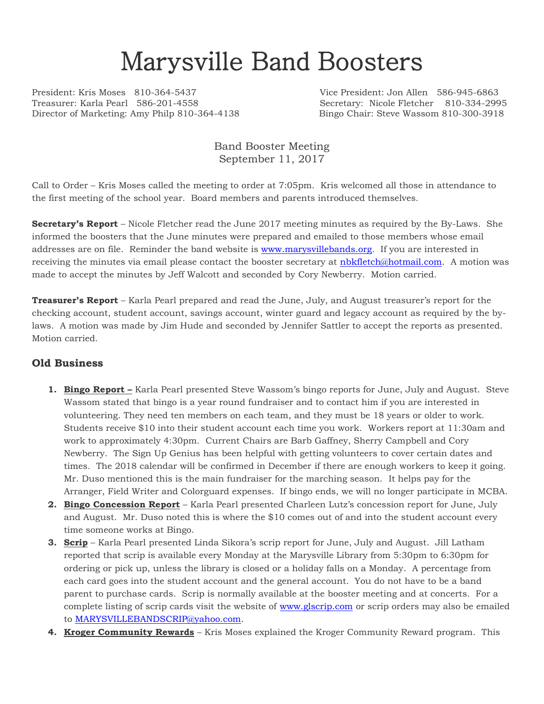# Marysville Band Boosters

President: Kris Moses 810-364-5437 Vice President: Jon Allen 586-945-6863 Treasurer: Karla Pearl 586-201-4558 Secretary: Nicole Fletcher 810-334-2995 Director of Marketing: Amy Philp 810-364-4138 Bingo Chair: Steve Wassom 810-300-3918

Band Booster Meeting September 11, 2017

Call to Order – Kris Moses called the meeting to order at 7:05pm. Kris welcomed all those in attendance to the first meeting of the school year. Board members and parents introduced themselves.

**Secretary's Report** – Nicole Fletcher read the June 2017 meeting minutes as required by the By-Laws. She informed the boosters that the June minutes were prepared and emailed to those members whose email addresses are on file. Reminder the band website is [www.marysvillebands.org.](http://www.marysvillebands.org/) If you are interested in receiving the minutes via email please contact the booster secretary at [nbkfletch@hotmail.com.](mailto:nbkfletch@hotmail.com) A motion was made to accept the minutes by Jeff Walcott and seconded by Cory Newberry. Motion carried.

**Treasurer's Report** – Karla Pearl prepared and read the June, July, and August treasurer's report for the checking account, student account, savings account, winter guard and legacy account as required by the bylaws. A motion was made by Jim Hude and seconded by Jennifer Sattler to accept the reports as presented. Motion carried.

#### **Old Business**

- **1. Bingo Report –** Karla Pearl presented Steve Wassom's bingo reports for June, July and August. Steve Wassom stated that bingo is a year round fundraiser and to contact him if you are interested in volunteering. They need ten members on each team, and they must be 18 years or older to work. Students receive \$10 into their student account each time you work. Workers report at 11:30am and work to approximately 4:30pm. Current Chairs are Barb Gaffney, Sherry Campbell and Cory Newberry. The Sign Up Genius has been helpful with getting volunteers to cover certain dates and times. The 2018 calendar will be confirmed in December if there are enough workers to keep it going. Mr. Duso mentioned this is the main fundraiser for the marching season. It helps pay for the Arranger, Field Writer and Colorguard expenses. If bingo ends, we will no longer participate in MCBA.
- **2. Bingo Concession Report** Karla Pearl presented Charleen Lutz's concession report for June, July and August. Mr. Duso noted this is where the \$10 comes out of and into the student account every time someone works at Bingo.
- **3. Scrip** Karla Pearl presented Linda Sikora's scrip report for June, July and August. Jill Latham reported that scrip is available every Monday at the Marysville Library from 5:30pm to 6:30pm for ordering or pick up, unless the library is closed or a holiday falls on a Monday. A percentage from each card goes into the student account and the general account. You do not have to be a band parent to purchase cards. Scrip is normally available at the booster meeting and at concerts. For a complete listing of scrip cards visit the website of [www.glscrip.com](http://www.glscrip.com/) or scrip orders may also be emailed to [MARYSVILLEBANDSCRIP@yahoo.com.](mailto:MARYSVILLEBANDSCRIP@yahoo.com)
- **4. Kroger Community Rewards** Kris Moses explained the Kroger Community Reward program. This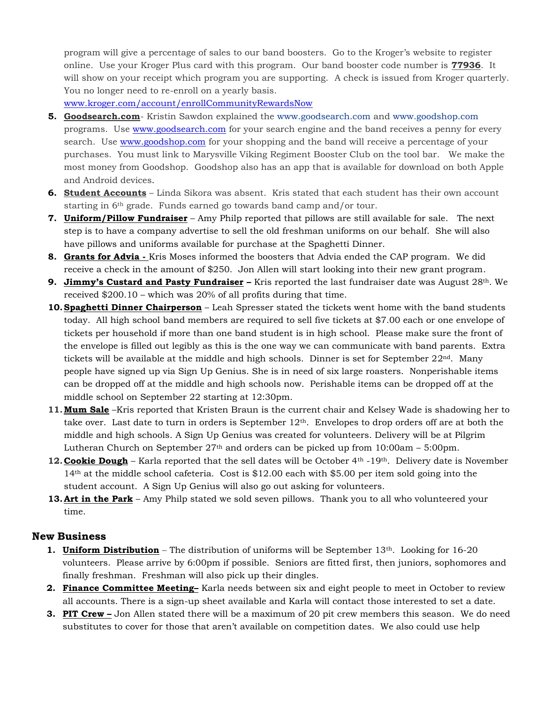program will give a percentage of sales to our band boosters. Go to the Kroger's website to register online. Use your Kroger Plus card with this program. Our band booster code number is **77936**. It will show on your receipt which program you are supporting. A check is issued from Kroger quarterly. You no longer need to re-enroll on a yearly basis.

[www.kroger.com/account/enrollCommunityRewardsNow](http://www.kroger.com/account/enrollCommunityRewardsNow)

- **5. Goodsearch.com** Kristin Sawdon explained the [www.goodsearch.com](http://www.goodsearch.com/) and [www.goodshop.com](http://www.goodshop.com/) programs. Use [www.goodsearch.com](http://www.goodsearch.com/) for your search engine and the band receives a penny for every search. Use [www.goodshop.com](http://www.goodshop.com/) for your shopping and the band will receive a percentage of your purchases. You must link to Marysville Viking Regiment Booster Club on the tool bar. We make the most money from Goodshop. Goodshop also has an app that is available for download on both Apple and Android devices.
- **6. Student Accounts** Linda Sikora was absent. Kris stated that each student has their own account starting in 6th grade. Funds earned go towards band camp and/or tour.
- **7. Uniform/Pillow Fundraiser** Amy Philp reported that pillows are still available for sale. The next step is to have a company advertise to sell the old freshman uniforms on our behalf. She will also have pillows and uniforms available for purchase at the Spaghetti Dinner.
- **8. Grants for Advia -** Kris Moses informed the boosters that Advia ended the CAP program. We did receive a check in the amount of \$250. Jon Allen will start looking into their new grant program.
- **9. Jimmy's Custard and Pasty Fundraiser –** Kris reported the last fundraiser date was August 28th. We received \$200.10 – which was 20% of all profits during that time.
- **10.Spaghetti Dinner Chairperson** Leah Spresser stated the tickets went home with the band students today. All high school band members are required to sell five tickets at \$7.00 each or one envelope of tickets per household if more than one band student is in high school. Please make sure the front of the envelope is filled out legibly as this is the one way we can communicate with band parents. Extra tickets will be available at the middle and high schools. Dinner is set for September  $22<sup>nd</sup>$ . Many people have signed up via Sign Up Genius. She is in need of six large roasters. Nonperishable items can be dropped off at the middle and high schools now. Perishable items can be dropped off at the middle school on September 22 starting at 12:30pm.
- **11.Mum Sale** –Kris reported that Kristen Braun is the current chair and Kelsey Wade is shadowing her to take over. Last date to turn in orders is September  $12<sup>th</sup>$ . Envelopes to drop orders off are at both the middle and high schools. A Sign Up Genius was created for volunteers. Delivery will be at Pilgrim Lutheran Church on September  $27<sup>th</sup>$  and orders can be picked up from  $10:00$ am – 5:00pm.
- **12. Cookie Dough** Karla reported that the sell dates will be October 4<sup>th</sup> -19<sup>th</sup>. Delivery date is November 14th at the middle school cafeteria. Cost is \$12.00 each with \$5.00 per item sold going into the student account. A Sign Up Genius will also go out asking for volunteers.
- **13. Art in the Park** Amy Philp stated we sold seven pillows. Thank you to all who volunteered your time.

#### **New Business**

- **1. Uniform Distribution** The distribution of uniforms will be September 13<sup>th</sup>. Looking for 16-20 volunteers. Please arrive by 6:00pm if possible. Seniors are fitted first, then juniors, sophomores and finally freshman. Freshman will also pick up their dingles.
- **2. Finance Committee Meeting–** Karla needs between six and eight people to meet in October to review all accounts. There is a sign-up sheet available and Karla will contact those interested to set a date.
- **3. PIT Crew –** Jon Allen stated there will be a maximum of 20 pit crew members this season. We do need substitutes to cover for those that aren't available on competition dates. We also could use help